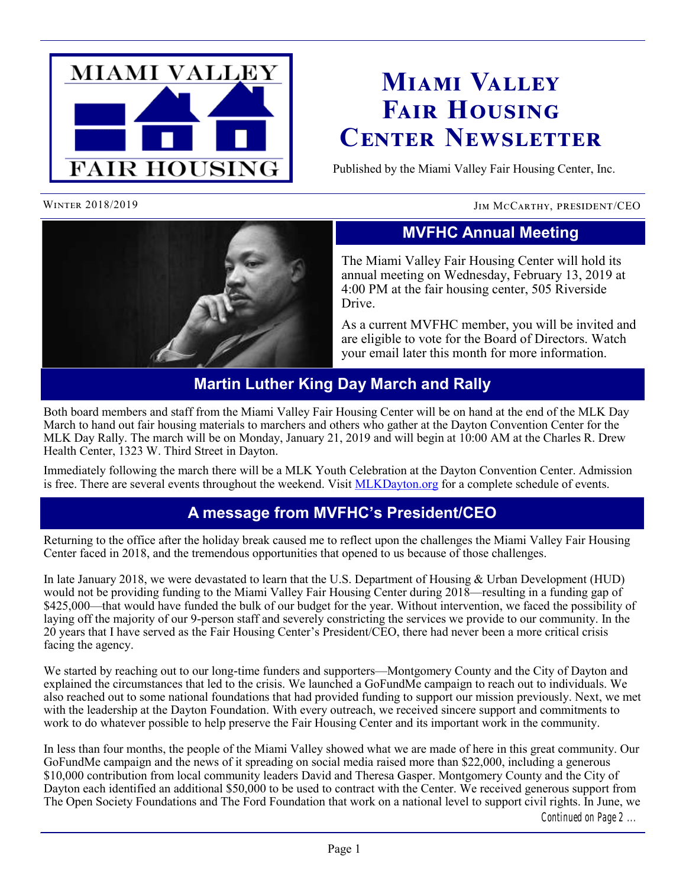

# **Miami Valley Fair Housing Center Newsletter**

Published by the Miami Valley Fair Housing Center, Inc.

#### WINTER 2018/2019 **JIM MCCARTHY, PRESIDENT/CEO**



## **MVFHC Annual Meeting**

The Miami Valley Fair Housing Center will hold its annual meeting on Wednesday, February 13, 2019 at 4:00 PM at the fair housing center, 505 Riverside Drive.

As a current MVFHC member, you will be invited and are eligible to vote for the Board of Directors. Watch your email later this month for more information.

#### **Martin Luther King Day March and Rally**

Both board members and staff from the Miami Valley Fair Housing Center will be on hand at the end of the MLK Day March to hand out fair housing materials to marchers and others who gather at the Dayton Convention Center for the MLK Day Rally. The march will be on Monday, January 21, 2019 and will begin at 10:00 AM at the Charles R. Drew Health Center, 1323 W. Third Street in Dayton.

Immediately following the march there will be a MLK Youth Celebration at the Dayton Convention Center. Admission is free. There are several events throughout the weekend. Visit [MLKDayton.org](http://www.mlkdayton.org) for a complete schedule of events.

### **A message from MVFHC's President/CEO**

Returning to the office after the holiday break caused me to reflect upon the challenges the Miami Valley Fair Housing Center faced in 2018, and the tremendous opportunities that opened to us because of those challenges.

In late January 2018, we were devastated to learn that the U.S. Department of Housing & Urban Development (HUD) would not be providing funding to the Miami Valley Fair Housing Center during 2018—resulting in a funding gap of \$425,000—that would have funded the bulk of our budget for the year. Without intervention, we faced the possibility of laying off the majority of our 9-person staff and severely constricting the services we provide to our community. In the 20 years that I have served as the Fair Housing Center's President/CEO, there had never been a more critical crisis facing the agency.

We started by reaching out to our long-time funders and supporters—Montgomery County and the City of Dayton and explained the circumstances that led to the crisis. We launched a GoFundMe campaign to reach out to individuals. We also reached out to some national foundations that had provided funding to support our mission previously. Next, we met with the leadership at the Dayton Foundation. With every outreach, we received sincere support and commitments to work to do whatever possible to help preserve the Fair Housing Center and its important work in the community.

In less than four months, the people of the Miami Valley showed what we are made of here in this great community. Our GoFundMe campaign and the news of it spreading on social media raised more than \$22,000, including a generous \$10,000 contribution from local community leaders David and Theresa Gasper. Montgomery County and the City of Dayton each identified an additional \$50,000 to be used to contract with the Center. We received generous support from The Open Society Foundations and The Ford Foundation that work on a national level to support civil rights. In June, we

*Continued on Page 2 ...*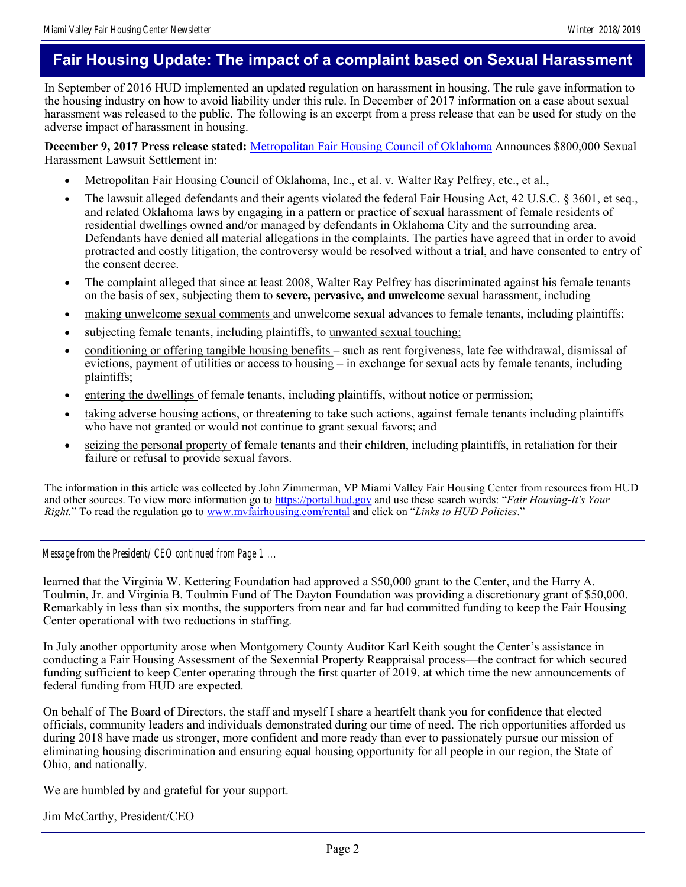### **Fair Housing Update: The impact of a complaint based on Sexual Harassment**

In September of 2016 HUD implemented an updated regulation on harassment in housing. The rule gave information to the housing industry on how to avoid liability under this rule. In December of 2017 information on a case about sexual harassment was released to the public. The following is an excerpt from a press release that can be used for study on the adverse impact of harassment in housing.

**December 9, 2017 Press release stated:** [Metropolitan Fair Housing Council of Oklahoma](http://www.metrofairhousing.org) Announces \$800,000 Sexual Harassment Lawsuit Settlement in:

- Metropolitan Fair Housing Council of Oklahoma, Inc., et al. v. Walter Ray Pelfrey, etc., et al.,
- The lawsuit alleged defendants and their agents violated the federal Fair Housing Act, 42 U.S.C. § 3601, et seq., and related Oklahoma laws by engaging in a pattern or practice of sexual harassment of female residents of residential dwellings owned and/or managed by defendants in Oklahoma City and the surrounding area. Defendants have denied all material allegations in the complaints. The parties have agreed that in order to avoid protracted and costly litigation, the controversy would be resolved without a trial, and have consented to entry of the consent decree.
- The complaint alleged that since at least 2008, Walter Ray Pelfrey has discriminated against his female tenants on the basis of sex, subjecting them to **severe, pervasive, and unwelcome** sexual harassment, including
- making unwelcome sexual comments and unwelcome sexual advances to female tenants, including plaintiffs;
- subjecting female tenants, including plaintiffs, to unwanted sexual touching;
- conditioning or offering tangible housing benefits such as rent forgiveness, late fee withdrawal, dismissal of evictions, payment of utilities or access to housing – in exchange for sexual acts by female tenants, including plaintiffs;
- entering the dwellings of female tenants, including plaintiffs, without notice or permission;
- taking adverse housing actions, or threatening to take such actions, against female tenants including plaintiffs who have not granted or would not continue to grant sexual favors; and
- seizing the personal property of female tenants and their children, including plaintiffs, in retaliation for their failure or refusal to provide sexual favors.

The information in this article was collected by John Zimmerman, VP Miami Valley Fair Housing Center from resources from HUD and other sources. To view more information go to <https://portal.hud.gov> and use these search words: "*Fair Housing-It's Your Right.*" To read the regulation go to [www.mvfairhousing.com/rental](http://www.mvfairhousing.com/rental) and click on "*Links to HUD Policies*."

*Message from the President/CEO continued from Page 1 ...*

learned that the Virginia W. Kettering Foundation had approved a \$50,000 grant to the Center, and the Harry A. Toulmin, Jr. and Virginia B. Toulmin Fund of The Dayton Foundation was providing a discretionary grant of \$50,000. Remarkably in less than six months, the supporters from near and far had committed funding to keep the Fair Housing Center operational with two reductions in staffing.

In July another opportunity arose when Montgomery County Auditor Karl Keith sought the Center's assistance in conducting a Fair Housing Assessment of the Sexennial Property Reappraisal process—the contract for which secured funding sufficient to keep Center operating through the first quarter of 2019, at which time the new announcements of federal funding from HUD are expected.

On behalf of The Board of Directors, the staff and myself I share a heartfelt thank you for confidence that elected officials, community leaders and individuals demonstrated during our time of need. The rich opportunities afforded us during 2018 have made us stronger, more confident and more ready than ever to passionately pursue our mission of eliminating housing discrimination and ensuring equal housing opportunity for all people in our region, the State of Ohio, and nationally.

We are humbled by and grateful for your support.

Jim McCarthy, President/CEO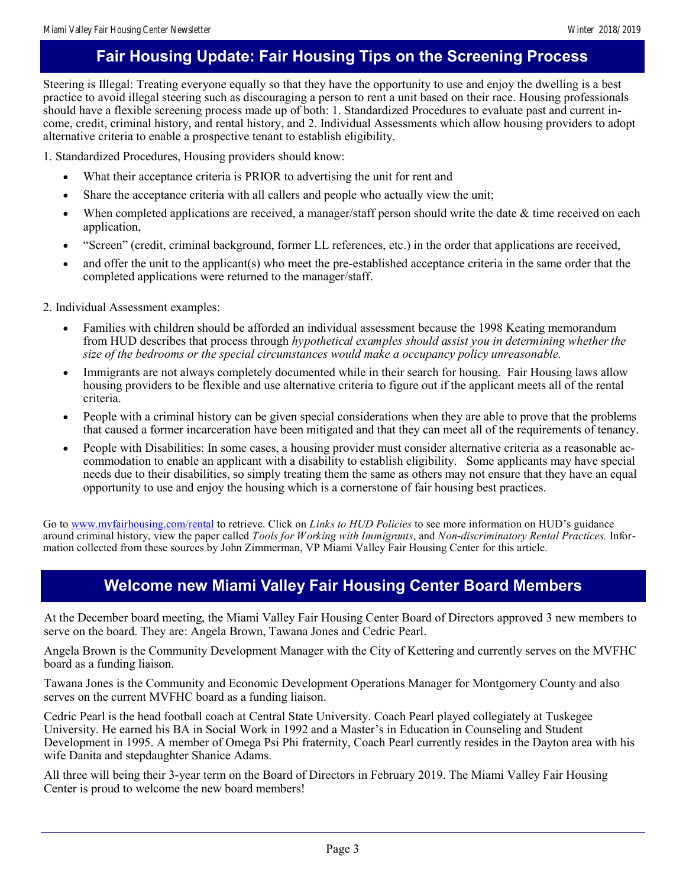### **Fair Housing Update: Fair Housing Tips on the Screening Process**

Steering is Illegal: Treating everyone equally so that they have the opportunity to use and enjoy the dwelling is a best practice to avoid illegal steering such as discouraging a person to rent a unit based on their race. Housing professionals should have a flexible screening process made up of both: 1. Standardized Procedures to evaluate past and current income, credit, criminal history, and rental history, and 2. Individual Assessments which allow housing providers to adopt alternative criteria to enable a prospective tenant to establish eligibility.

1. Standardized Procedures, Housing providers should know:

- What their acceptance criteria is PRIOR to advertising the unit for rent and
- Share the acceptance criteria with all callers and people who actually view the unit;
- When completed applications are received, a manager/staff person should write the date & time received on each application,
- "Screen" (credit, criminal background, former LL references, etc.) in the order that applications are received,
- and offer the unit to the applicant(s) who meet the pre-established acceptance criteria in the same order that the completed applications were returned to the manager/staff.

2. Individual Assessment examples:

- Families with children should be afforded an individual assessment because the 1998 Keating memorandum from HUD describes that process through *hypothetical examples should assist you in determining whether the size of the bedrooms or the special circumstances would make a occupancy policy unreasonable.*
- Immigrants are not always completely documented while in their search for housing. Fair Housing laws allow housing providers to be flexible and use alternative criteria to figure out if the applicant meets all of the rental criteria.
- People with a criminal history can be given special considerations when they are able to prove that the problems that caused a former incarceration have been mitigated and that they can meet all of the requirements of tenancy.
- People with Disabilities: In some cases, a housing provider must consider alternative criteria as a reasonable accommodation to enable an applicant with a disability to establish eligibility. Some applicants may have special needs due to their disabilities, so simply treating them the same as others may not ensure that they have an equal opportunity to use and enjoy the housing which is a cornerstone of fair housing best practices.

Go to [www.mvfairhousing.com/rental](http://www.mvfairhousing.com/rental) to retrieve. Click on *Links to HUD Policies* to see more information on HUD's guidance around criminal history, view the paper called *Tools for Working with Immigrants*, and *Non-discriminatory Rental Practices.* Information collected from these sources by John Zimmerman, VP Miami Valley Fair Housing Center for this article.

#### **Welcome new Miami Valley Fair Housing Center Board Members**

At the December board meeting, the Miami Valley Fair Housing Center Board of Directors approved 3 new members to serve on the board. They are: Angela Brown, Tawana Jones and Cedric Pearl.

Angela Brown is the Community Development Manager with the City of Kettering and currently serves on the MVFHC board as a funding liaison.

Tawana Jones is the Community and Economic Development Operations Manager for Montgomery County and also serves on the current MVFHC board as a funding liaison.

Cedric Pearl is the head football coach at Central State University. Coach Pearl played collegiately at Tuskegee University. He earned his BA in Social Work in 1992 and a Master's in Education in Counseling and Student Development in 1995. A member of Omega Psi Phi fraternity, Coach Pearl currently resides in the Dayton area with his wife Danita and stepdaughter Shanice Adams.

All three will being their 3-year term on the Board of Directors in February 2019. The Miami Valley Fair Housing Center is proud to welcome the new board members!